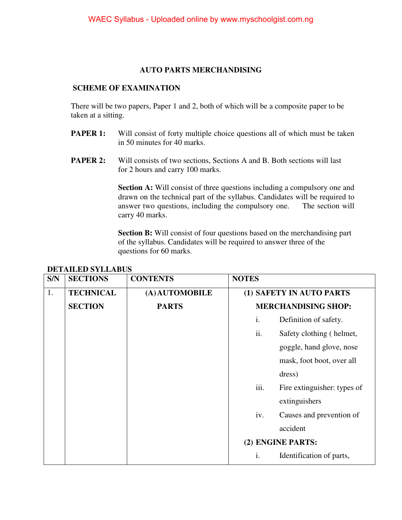## **AUTO PARTS MERCHANDISING**

## **SCHEME OF EXAMINATION**

There will be two papers, Paper 1 and 2, both of which will be a composite paper to be taken at a sitting.

- **PAPER 1:** Will consist of forty multiple choice questions all of which must be taken in 50 minutes for 40 marks.
- **PAPER 2:** Will consists of two sections, Sections A and B. Both sections will last for 2 hours and carry 100 marks.

**Section A:** Will consist of three questions including a compulsory one and drawn on the technical part of the syllabus. Candidates will be required to answer two questions, including the compulsory one. The section will carry 40 marks.

**Section B:** Will consist of four questions based on the merchandising part of the syllabus. Candidates will be required to answer three of the questions for 60 marks.

| S/N | <b>SECTIONS</b>  | <b>CONTENTS</b> | <b>NOTES</b>                        |
|-----|------------------|-----------------|-------------------------------------|
| 1.  | <b>TECHNICAL</b> | (A) AUTOMOBILE  | (1) SAFETY IN AUTO PARTS            |
|     | <b>SECTION</b>   | <b>PARTS</b>    | <b>MERCHANDISING SHOP:</b>          |
|     |                  |                 | i.<br>Definition of safety.         |
|     |                  |                 | ii.<br>Safety clothing (helmet,     |
|     |                  |                 | goggle, hand glove, nose            |
|     |                  |                 | mask, foot boot, over all           |
|     |                  |                 | dress)                              |
|     |                  |                 | iii.<br>Fire extinguisher: types of |
|     |                  |                 | extinguishers                       |
|     |                  |                 | Causes and prevention of<br>iv.     |
|     |                  |                 | accident                            |
|     |                  |                 | (2) ENGINE PARTS:                   |
|     |                  |                 | Identification of parts,<br>i.      |

## **DETAILED SYLLABUS**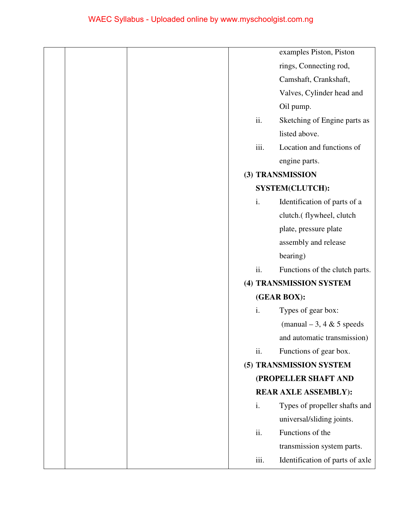|      | examples Piston, Piston                      |
|------|----------------------------------------------|
|      | rings, Connecting rod,                       |
|      | Camshaft, Crankshaft,                        |
|      | Valves, Cylinder head and                    |
|      | Oil pump.                                    |
| ii.  | Sketching of Engine parts as                 |
|      | listed above.                                |
| iii. | Location and functions of                    |
|      | engine parts.                                |
|      | (3) TRANSMISSION                             |
|      | <b>SYSTEM(CLUTCH):</b>                       |
| i.   | Identification of parts of a                 |
|      | clutch.(flywheel, clutch                     |
|      | plate, pressure plate                        |
|      | assembly and release                         |
|      | bearing)                                     |
| ii.  | Functions of the clutch parts.               |
|      | (4) TRANSMISSION SYSTEM                      |
|      | (GEAR BOX):                                  |
| i.   | Types of gear box:                           |
|      | $(\text{manual} - 3, 4 \& 5 \text{ speeds})$ |
|      | and automatic transmission)                  |
| ii.  | Functions of gear box.                       |
|      | (5) TRANSMISSION SYSTEM                      |
|      | (PROPELLER SHAFT AND                         |
|      | <b>REAR AXLE ASSEMBLY):</b>                  |
| i.   | Types of propeller shafts and                |
|      | universal/sliding joints.                    |
| ii.  | Functions of the                             |
|      | transmission system parts.                   |
| iii. | Identification of parts of axle              |
|      |                                              |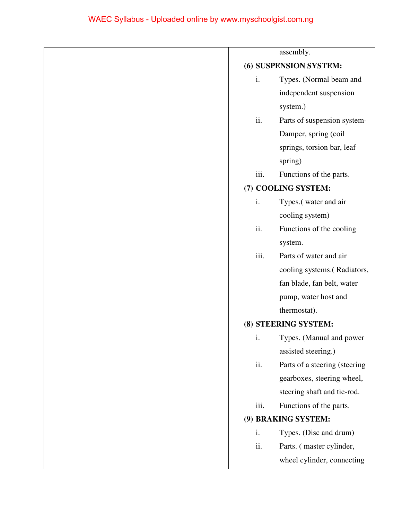|  |      | assembly.                     |
|--|------|-------------------------------|
|  |      | (6) SUSPENSION SYSTEM:        |
|  | i.   | Types. (Normal beam and       |
|  |      | independent suspension        |
|  |      | system.)                      |
|  | ii.  | Parts of suspension system-   |
|  |      | Damper, spring (coil          |
|  |      | springs, torsion bar, leaf    |
|  |      | spring)                       |
|  | iii. | Functions of the parts.       |
|  |      | (7) COOLING SYSTEM:           |
|  | i.   | Types.(water and air          |
|  |      | cooling system)               |
|  | ii.  | Functions of the cooling      |
|  |      | system.                       |
|  | iii. | Parts of water and air        |
|  |      | cooling systems.(Radiators,   |
|  |      | fan blade, fan belt, water    |
|  |      | pump, water host and          |
|  |      | thermostat).                  |
|  |      | (8) STEERING SYSTEM:          |
|  | i.   | Types. (Manual and power      |
|  |      | assisted steering.)           |
|  | ii.  | Parts of a steering (steering |
|  |      | gearboxes, steering wheel,    |
|  |      | steering shaft and tie-rod.   |
|  | iii. | Functions of the parts.       |
|  |      | (9) BRAKING SYSTEM:           |
|  | i.   | Types. (Disc and drum)        |
|  | ii.  | Parts. (master cylinder,      |
|  |      | wheel cylinder, connecting    |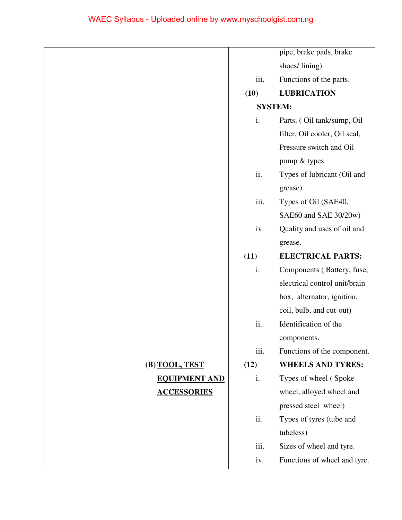|  |                      |      | pipe, brake pads, brake       |
|--|----------------------|------|-------------------------------|
|  |                      |      | shoes/lining)                 |
|  |                      | iii. | Functions of the parts.       |
|  |                      | (10) | <b>LUBRICATION</b>            |
|  |                      |      | <b>SYSTEM:</b>                |
|  |                      | i.   | Parts. (Oil tank/sump, Oil    |
|  |                      |      | filter, Oil cooler, Oil seal, |
|  |                      |      | Pressure switch and Oil       |
|  |                      |      | pump & types                  |
|  |                      | ii.  | Types of lubricant (Oil and   |
|  |                      |      | grease)                       |
|  |                      | iii. | Types of Oil (SAE40,          |
|  |                      |      | SAE60 and SAE 30/20w)         |
|  |                      | iv.  | Quality and uses of oil and   |
|  |                      |      | grease.                       |
|  |                      | (11) | <b>ELECTRICAL PARTS:</b>      |
|  |                      | i.   | Components (Battery, fuse,    |
|  |                      |      | electrical control unit/brain |
|  |                      |      | box, alternator, ignition,    |
|  |                      |      | coil, bulb, and cut-out)      |
|  |                      | ii.  | Identification of the         |
|  |                      |      | components.                   |
|  |                      | iii. | Functions of the component.   |
|  | (B) TOOL, TEST       | (12) | <b>WHEELS AND TYRES:</b>      |
|  | <b>EQUIPMENT AND</b> | i.   | Types of wheel (Spoke         |
|  | <b>ACCESSORIES</b>   |      | wheel, alloyed wheel and      |
|  |                      |      | pressed steel wheel)          |
|  |                      | ii.  | Types of tyres (tube and      |
|  |                      |      | tubeless)                     |
|  |                      | iii. | Sizes of wheel and tyre.      |
|  |                      | iv.  | Functions of wheel and tyre.  |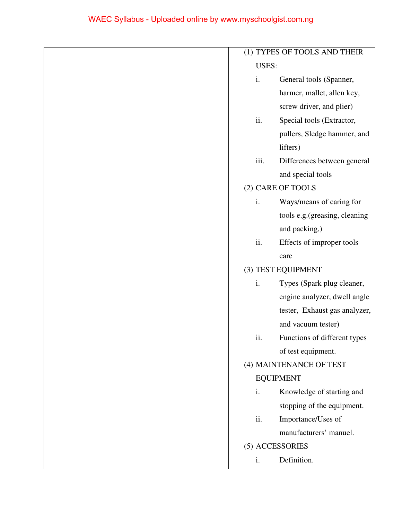|  |       | (1) TYPES OF TOOLS AND THEIR  |
|--|-------|-------------------------------|
|  | USES: |                               |
|  | i.    | General tools (Spanner,       |
|  |       | harmer, mallet, allen key,    |
|  |       | screw driver, and plier)      |
|  | ii.   | Special tools (Extractor,     |
|  |       | pullers, Sledge hammer, and   |
|  |       | lifters)                      |
|  | iii.  | Differences between general   |
|  |       | and special tools             |
|  |       | (2) CARE OF TOOLS             |
|  | i.    | Ways/means of caring for      |
|  |       | tools e.g.(greasing, cleaning |
|  |       | and packing,)                 |
|  | ii.   | Effects of improper tools     |
|  |       | care                          |
|  |       | (3) TEST EQUIPMENT            |
|  | i.    | Types (Spark plug cleaner,    |
|  |       | engine analyzer, dwell angle  |
|  |       | tester, Exhaust gas analyzer, |
|  |       | and vacuum tester)            |
|  | ii.   | Functions of different types  |
|  |       | of test equipment.            |
|  |       | (4) MAINTENANCE OF TEST       |
|  |       | <b>EQUIPMENT</b>              |
|  | i.    | Knowledge of starting and     |
|  |       | stopping of the equipment.    |
|  | ii.   | Importance/Uses of            |
|  |       | manufacturers' manuel.        |
|  |       | (5) ACCESSORIES               |
|  | i.    | Definition.                   |
|  |       |                               |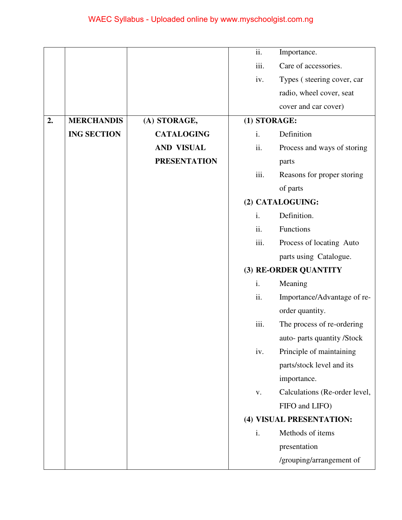|    |                    |                     | ii.          | Importance.                   |
|----|--------------------|---------------------|--------------|-------------------------------|
|    |                    |                     | iii.         | Care of accessories.          |
|    |                    |                     | iv.          | Types (steering cover, car    |
|    |                    |                     |              | radio, wheel cover, seat      |
|    |                    |                     |              | cover and car cover)          |
| 2. | <b>MERCHANDIS</b>  | (A) STORAGE,        | (1) STORAGE: |                               |
|    | <b>ING SECTION</b> | <b>CATALOGING</b>   | i.           | Definition                    |
|    |                    | <b>AND VISUAL</b>   | ii.          | Process and ways of storing   |
|    |                    | <b>PRESENTATION</b> |              | parts                         |
|    |                    |                     | iii.         | Reasons for proper storing    |
|    |                    |                     |              | of parts                      |
|    |                    |                     |              | (2) CATALOGUING:              |
|    |                    |                     | i.           | Definition.                   |
|    |                    |                     | ii.          | Functions                     |
|    |                    |                     | iii.         | Process of locating Auto      |
|    |                    |                     |              | parts using Catalogue.        |
|    |                    |                     |              | (3) RE-ORDER QUANTITY         |
|    |                    |                     | i.           | Meaning                       |
|    |                    |                     | ii.          | Importance/Advantage of re-   |
|    |                    |                     |              | order quantity.               |
|    |                    |                     | iii.         | The process of re-ordering    |
|    |                    |                     |              | auto- parts quantity /Stock   |
|    |                    |                     | iv.          | Principle of maintaining      |
|    |                    |                     |              | parts/stock level and its     |
|    |                    |                     |              | importance.                   |
|    |                    |                     | ${\bf V}$ .  | Calculations (Re-order level, |
|    |                    |                     |              | FIFO and LIFO)                |
|    |                    |                     |              | (4) VISUAL PRESENTATION:      |
|    |                    |                     | i.           | Methods of items              |
|    |                    |                     |              | presentation                  |
|    |                    |                     |              | /grouping/arrangement of      |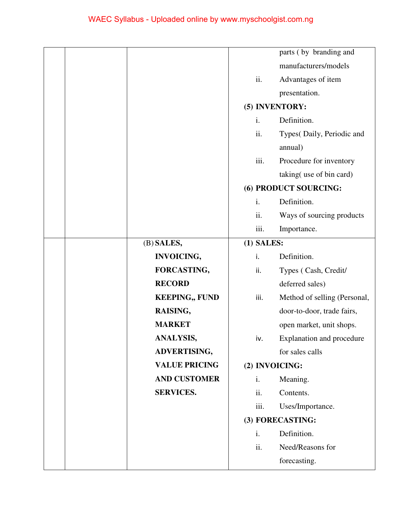|                       | parts (by branding and               |
|-----------------------|--------------------------------------|
|                       | manufacturers/models                 |
|                       | ii.<br>Advantages of item            |
|                       | presentation.                        |
|                       | (5) INVENTORY:                       |
|                       | Definition.<br>i.                    |
|                       | ii.<br>Types(Daily, Periodic and     |
|                       | annual)                              |
|                       | iii.<br>Procedure for inventory      |
|                       | taking (use of bin card)             |
|                       | (6) PRODUCT SOURCING:                |
|                       | Definition.<br>i.                    |
|                       | ii.<br>Ways of sourcing products     |
|                       | iii.<br>Importance.                  |
| (B) SALES,            | $(1)$ SALES:                         |
| <b>INVOICING,</b>     | i.<br>Definition.                    |
| FORCASTING,           | Types (Cash, Credit/<br>ii.          |
| <b>RECORD</b>         | deferred sales)                      |
| <b>KEEPING,, FUND</b> | iii.<br>Method of selling (Personal, |
| RAISING,              | door-to-door, trade fairs,           |
| <b>MARKET</b>         | open market, unit shops.             |
| <b>ANALYSIS,</b>      | Explanation and procedure<br>iv.     |
| <b>ADVERTISING,</b>   | for sales calls                      |
| <b>VALUE PRICING</b>  | (2) INVOICING:                       |
| <b>AND CUSTOMER</b>   | Meaning.<br>i.                       |
| <b>SERVICES.</b>      | ii.<br>Contents.                     |
|                       | iii.<br>Uses/Importance.             |
|                       | (3) FORECASTING:                     |
|                       | Definition.<br>i.                    |
|                       | ii.<br>Need/Reasons for              |
|                       | forecasting.                         |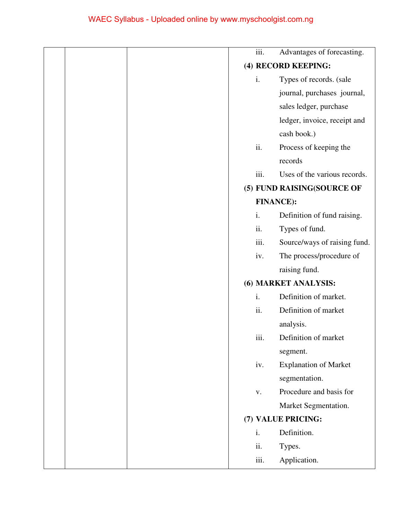|  | iii.           | Advantages of forecasting.   |
|--|----------------|------------------------------|
|  |                | (4) RECORD KEEPING:          |
|  | i.             | Types of records. (sale      |
|  |                | journal, purchases journal,  |
|  |                | sales ledger, purchase       |
|  |                | ledger, invoice, receipt and |
|  |                | cash book.)                  |
|  | ii.            | Process of keeping the       |
|  |                | records                      |
|  | iii.           | Uses of the various records. |
|  |                | (5) FUND RAISING(SOURCE OF   |
|  |                | <b>FINANCE):</b>             |
|  | i.             | Definition of fund raising.  |
|  | ii.            | Types of fund.               |
|  | iii.           | Source/ways of raising fund. |
|  | iv.            | The process/procedure of     |
|  |                | raising fund.                |
|  |                | (6) MARKET ANALYSIS:         |
|  | i.             | Definition of market.        |
|  | ii.            | Definition of market         |
|  |                | analysis.                    |
|  | iii.           | Definition of market         |
|  |                | segment.                     |
|  | iv.            | <b>Explanation of Market</b> |
|  |                | segmentation.                |
|  | $\mathbf{V}$ . | Procedure and basis for      |
|  |                | Market Segmentation.         |
|  |                | (7) VALUE PRICING:           |
|  | i.             | Definition.                  |
|  | ii.            | Types.                       |
|  | iii.           | Application.                 |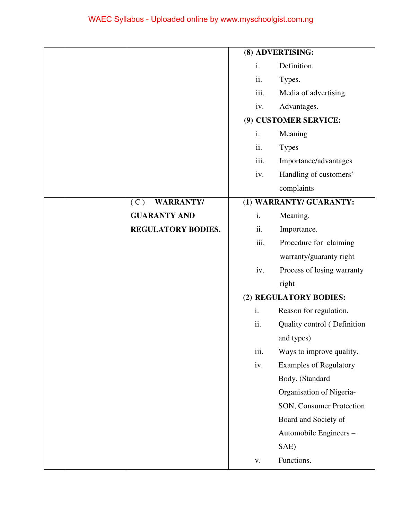|                           | (8) ADVERTISING:                     |
|---------------------------|--------------------------------------|
|                           | i.<br>Definition.                    |
|                           | ii.<br>Types.                        |
|                           | iii.<br>Media of advertising.        |
|                           | iv.<br>Advantages.                   |
|                           | (9) CUSTOMER SERVICE:                |
|                           | Meaning<br>i.                        |
|                           | ii.<br><b>Types</b>                  |
|                           | iii.<br>Importance/advantages        |
|                           | Handling of customers'<br>iv.        |
|                           | complaints                           |
| (C)<br><b>WARRANTY/</b>   | (1) WARRANTY/ GUARANTY:              |
| <b>GUARANTY AND</b>       | i.<br>Meaning.                       |
| <b>REGULATORY BODIES.</b> | ii.<br>Importance.                   |
|                           | iii.<br>Procedure for claiming       |
|                           | warranty/guaranty right              |
|                           | Process of losing warranty<br>iv.    |
|                           | right                                |
|                           | (2) REGULATORY BODIES:               |
|                           | Reason for regulation.<br>i.         |
|                           | ii.<br>Quality control (Definition   |
|                           | and types)                           |
|                           | iii.<br>Ways to improve quality.     |
|                           | iv.<br><b>Examples of Regulatory</b> |
|                           | Body. (Standard                      |
|                           | Organisation of Nigeria-             |
|                           | SON, Consumer Protection             |
|                           | Board and Society of                 |
|                           | Automobile Engineers -               |
|                           | SAE)                                 |
|                           | Functions.<br>${\bf V}$ .            |